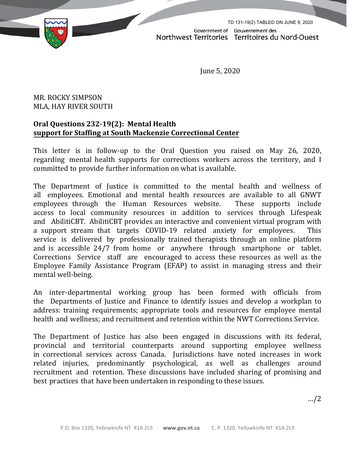

June 5, 2020

## MR. ROCKY SIMPSON MLA, HAY RIVER SOUTH

## **Oral Questions 232-19(2): Mental Health support for Staffing at South Mackenzie Correctional Center**

This letter is in follow-up to the Oral Question you raised on May 26, 2020, regarding mental health supports for corrections workers across the territory, and I committed to provide further information on what is available.

The Department of Justice is committed to the mental health and wellness of all employees. Emotional and mental health resources are available to all GNWT employees through the Human Resources website. These supports include employees through the Human Resources website. access to local community resources in addition to services through Lifespeak and AbilitiCBT. AbilitiCBT provides an interactive and convenient virtual program with a support stream that targets COVID-19 related anxiety for employees. This service is delivered by professionally trained therapists through an online platform and is accessible 24/7 from home or anywhere through smartphone or tablet. Corrections Service staff are encouraged to access these resources as well as the Employee Family Assistance Program (EFAP) to assist in managing stress and their mental well-being.

An inter-departmental working group has been formed with officials from the Departments of Justice and Finance to identify issues and develop a workplan to address: training requirements; appropriate tools and resources for employee mental health and wellness; and recruitment and retention within the NWT Corrections Service.

The Department of Justice has also been engaged in discussions with its federal, provincial and territorial counterparts around supporting employee wellness in correctional services across Canada. Jurisdictions have noted increases in work related injuries, predominantly psychological, as well as challenges around recruitment and retention. These discussions have included sharing of promising and best practices that have been undertaken in responding to these issues.

…/2